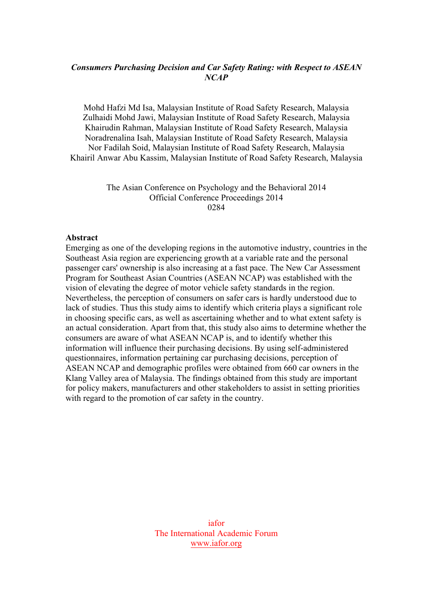### *Consumers Purchasing Decision and Car Safety Rating: with Respect to ASEAN NCAP*

Mohd Hafzi Md Isa, Malaysian Institute of Road Safety Research, Malaysia Zulhaidi Mohd Jawi, Malaysian Institute of Road Safety Research, Malaysia Khairudin Rahman, Malaysian Institute of Road Safety Research, Malaysia Noradrenalina Isah, Malaysian Institute of Road Safety Research, Malaysia Nor Fadilah Soid, Malaysian Institute of Road Safety Research, Malaysia Khairil Anwar Abu Kassim, Malaysian Institute of Road Safety Research, Malaysia

> The Asian Conference on Psychology and the Behavioral 2014 Official Conference Proceedings 2014 0284

#### **Abstract**

Emerging as one of the developing regions in the automotive industry, countries in the Southeast Asia region are experiencing growth at a variable rate and the personal passenger cars' ownership is also increasing at a fast pace. The New Car Assessment Program for Southeast Asian Countries (ASEAN NCAP) was established with the vision of elevating the degree of motor vehicle safety standards in the region. Nevertheless, the perception of consumers on safer cars is hardly understood due to lack of studies. Thus this study aims to identify which criteria plays a significant role in choosing specific cars, as well as ascertaining whether and to what extent safety is an actual consideration. Apart from that, this study also aims to determine whether the consumers are aware of what ASEAN NCAP is, and to identify whether this information will influence their purchasing decisions. By using self-administered questionnaires, information pertaining car purchasing decisions, perception of ASEAN NCAP and demographic profiles were obtained from 660 car owners in the Klang Valley area of Malaysia. The findings obtained from this study are important for policy makers, manufacturers and other stakeholders to assist in setting priorities with regard to the promotion of car safety in the country.

> iafor The International Academic Forum www.iafor.org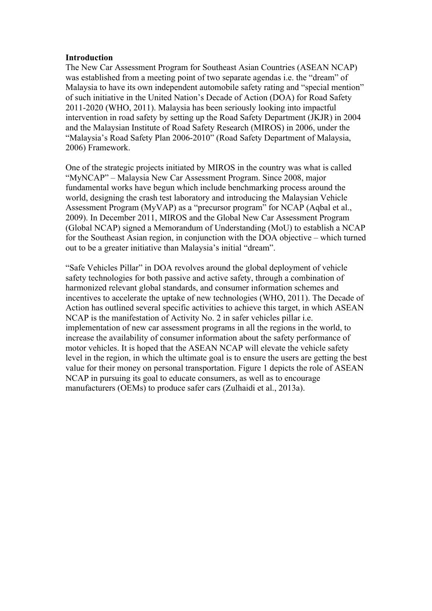#### **Introduction**

The New Car Assessment Program for Southeast Asian Countries (ASEAN NCAP) was established from a meeting point of two separate agendas i.e. the "dream" of Malaysia to have its own independent automobile safety rating and "special mention" of such initiative in the United Nation's Decade of Action (DOA) for Road Safety 2011-2020 (WHO, 2011). Malaysia has been seriously looking into impactful intervention in road safety by setting up the Road Safety Department (JKJR) in 2004 and the Malaysian Institute of Road Safety Research (MIROS) in 2006, under the "Malaysia's Road Safety Plan 2006-2010" (Road Safety Department of Malaysia, 2006) Framework.

One of the strategic projects initiated by MIROS in the country was what is called "MyNCAP" – Malaysia New Car Assessment Program. Since 2008, major fundamental works have begun which include benchmarking process around the world, designing the crash test laboratory and introducing the Malaysian Vehicle Assessment Program (MyVAP) as a "precursor program" for NCAP (Aqbal et al., 2009). In December 2011, MIROS and the Global New Car Assessment Program (Global NCAP) signed a Memorandum of Understanding (MoU) to establish a NCAP for the Southeast Asian region, in conjunction with the DOA objective – which turned out to be a greater initiative than Malaysia's initial "dream".

"Safe Vehicles Pillar" in DOA revolves around the global deployment of vehicle safety technologies for both passive and active safety, through a combination of harmonized relevant global standards, and consumer information schemes and incentives to accelerate the uptake of new technologies (WHO, 2011). The Decade of Action has outlined several specific activities to achieve this target, in which ASEAN NCAP is the manifestation of Activity No. 2 in safer vehicles pillar i.e. implementation of new car assessment programs in all the regions in the world, to increase the availability of consumer information about the safety performance of motor vehicles. It is hoped that the ASEAN NCAP will elevate the vehicle safety level in the region, in which the ultimate goal is to ensure the users are getting the best value for their money on personal transportation. Figure 1 depicts the role of ASEAN NCAP in pursuing its goal to educate consumers, as well as to encourage manufacturers (OEMs) to produce safer cars (Zulhaidi et al., 2013a).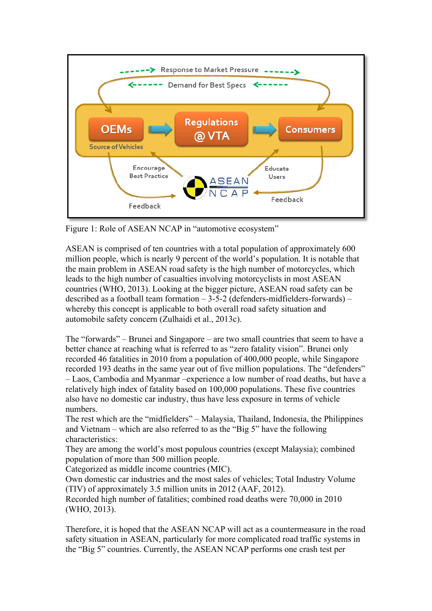

Figure 1: Role of ASEAN NCAP in "automotive ecosystem"

ASEAN is comprised of ten countries with a total population of approximately 600 million people, which is nearly 9 percent of the world's population. It is notable that the main problem in ASEAN road safety is the high number of motorcycles, which leads to the high number of casualties involving motorcyclists in most ASEAN countries (WHO, 2013). Looking at the bigger picture, ASEAN road safety can be described as a football team formation  $-3-5-2$  (defenders-midfielders-forwards)  $$ whereby this concept is applicable to both overall road safety situation and automobile safety concern (Zulhaidi et al., 2013c).

The "forwards" – Brunei and Singapore – are two small countries that seem to have a better chance at reaching what is referred to as "zero fatality vision". Brunei only recorded 46 fatalities in 2010 from a population of 400,000 people, while Singapore recorded 193 deaths in the same year out of five million populations. The "defenders" – Laos, Cambodia and Myanmar –experience a low number of road deaths, but have a relatively high index of fatality based on 100,000 populations. These five countries also have no domestic car industry, thus have less exposure in terms of vehicle numbers.

The rest which are the "midfielders" – Malaysia, Thailand, Indonesia, the Philippines and Vietnam – which are also referred to as the "Big 5" have the following characteristics:

They are among the world's most populous countries (except Malaysia); combined population of more than 500 million people.

Categorized as middle income countries (MIC).

Own domestic car industries and the most sales of vehicles; Total Industry Volume (TIV) of approximately 3.5 million units in 2012 (AAF, 2012).

Recorded high number of fatalities; combined road deaths were 70,000 in 2010 (WHO, 2013).

Therefore, it is hoped that the ASEAN NCAP will act as a countermeasure in the road safety situation in ASEAN, particularly for more complicated road traffic systems in the "Big 5" countries. Currently, the ASEAN NCAP performs one crash test per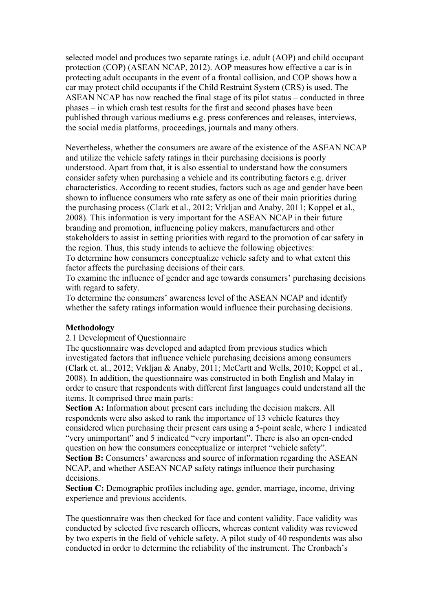selected model and produces two separate ratings i.e. adult (AOP) and child occupant protection (COP) (ASEAN NCAP, 2012). AOP measures how effective a car is in protecting adult occupants in the event of a frontal collision, and COP shows how a car may protect child occupants if the Child Restraint System (CRS) is used. The ASEAN NCAP has now reached the final stage of its pilot status – conducted in three phases – in which crash test results for the first and second phases have been published through various mediums e.g. press conferences and releases, interviews, the social media platforms, proceedings, journals and many others.

Nevertheless, whether the consumers are aware of the existence of the ASEAN NCAP and utilize the vehicle safety ratings in their purchasing decisions is poorly understood. Apart from that, it is also essential to understand how the consumers consider safety when purchasing a vehicle and its contributing factors e.g. driver characteristics. According to recent studies, factors such as age and gender have been shown to influence consumers who rate safety as one of their main priorities during the purchasing process (Clark et al., 2012; Vrkljan and Anaby, 2011; Koppel et al., 2008). This information is very important for the ASEAN NCAP in their future branding and promotion, influencing policy makers, manufacturers and other stakeholders to assist in setting priorities with regard to the promotion of car safety in the region. Thus, this study intends to achieve the following objectives:

To determine how consumers conceptualize vehicle safety and to what extent this factor affects the purchasing decisions of their cars.

To examine the influence of gender and age towards consumers' purchasing decisions with regard to safety.

To determine the consumers' awareness level of the ASEAN NCAP and identify whether the safety ratings information would influence their purchasing decisions.

#### **Methodology**

# 2.1 Development of Questionnaire

The questionnaire was developed and adapted from previous studies which investigated factors that influence vehicle purchasing decisions among consumers (Clark et. al., 2012; Vrkljan & Anaby, 2011; McCartt and Wells, 2010; Koppel et al., 2008). In addition, the questionnaire was constructed in both English and Malay in order to ensure that respondents with different first languages could understand all the items. It comprised three main parts:

**Section A:** Information about present cars including the decision makers. All respondents were also asked to rank the importance of 13 vehicle features they considered when purchasing their present cars using a 5-point scale, where 1 indicated "very unimportant" and 5 indicated "very important". There is also an open-ended question on how the consumers conceptualize or interpret "vehicle safety".

**Section B:** Consumers' awareness and source of information regarding the ASEAN NCAP, and whether ASEAN NCAP safety ratings influence their purchasing decisions.

**Section C:** Demographic profiles including age, gender, marriage, income, driving experience and previous accidents.

The questionnaire was then checked for face and content validity. Face validity was conducted by selected five research officers, whereas content validity was reviewed by two experts in the field of vehicle safety. A pilot study of 40 respondents was also conducted in order to determine the reliability of the instrument. The Cronbach's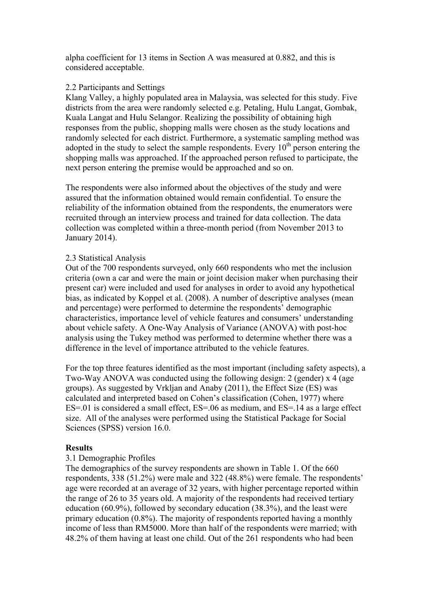alpha coefficient for 13 items in Section A was measured at 0.882, and this is considered acceptable.

### 2.2 Participants and Settings

Klang Valley, a highly populated area in Malaysia, was selected for this study. Five districts from the area were randomly selected e.g. Petaling, Hulu Langat, Gombak, Kuala Langat and Hulu Selangor. Realizing the possibility of obtaining high responses from the public, shopping malls were chosen as the study locations and randomly selected for each district. Furthermore, a systematic sampling method was adopted in the study to select the sample respondents. Every  $10<sup>th</sup>$  person entering the shopping malls was approached. If the approached person refused to participate, the next person entering the premise would be approached and so on.

The respondents were also informed about the objectives of the study and were assured that the information obtained would remain confidential. To ensure the reliability of the information obtained from the respondents, the enumerators were recruited through an interview process and trained for data collection. The data collection was completed within a three-month period (from November 2013 to January 2014).

### 2.3 Statistical Analysis

Out of the 700 respondents surveyed, only 660 respondents who met the inclusion criteria (own a car and were the main or joint decision maker when purchasing their present car) were included and used for analyses in order to avoid any hypothetical bias, as indicated by Koppel et al. (2008). A number of descriptive analyses (mean and percentage) were performed to determine the respondents' demographic characteristics, importance level of vehicle features and consumers' understanding about vehicle safety. A One-Way Analysis of Variance (ANOVA) with post-hoc analysis using the Tukey method was performed to determine whether there was a difference in the level of importance attributed to the vehicle features.

For the top three features identified as the most important (including safety aspects), a Two-Way ANOVA was conducted using the following design: 2 (gender) x 4 (age groups). As suggested by Vrkljan and Anaby (2011), the Effect Size (ES) was calculated and interpreted based on Cohen's classification (Cohen, 1977) where ES=.01 is considered a small effect, ES=.06 as medium, and ES=.14 as a large effect size. All of the analyses were performed using the Statistical Package for Social Sciences (SPSS) version 16.0.

### **Results**

### 3.1 Demographic Profiles

The demographics of the survey respondents are shown in Table 1. Of the 660 respondents, 338 (51.2%) were male and 322 (48.8%) were female. The respondents' age were recorded at an average of 32 years, with higher percentage reported within the range of 26 to 35 years old. A majority of the respondents had received tertiary education (60.9%), followed by secondary education (38.3%), and the least were primary education (0.8%). The majority of respondents reported having a monthly income of less than RM5000. More than half of the respondents were married; with 48.2% of them having at least one child. Out of the 261 respondents who had been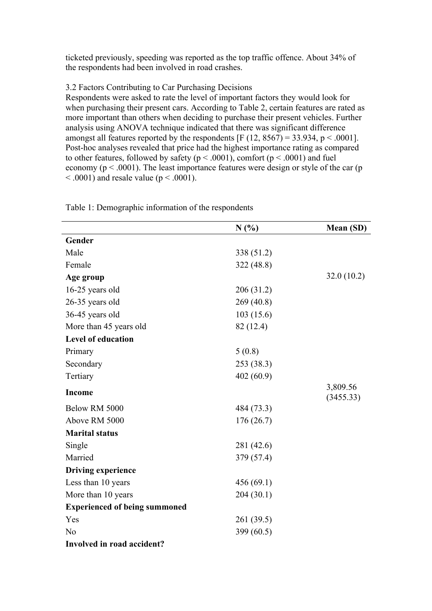ticketed previously, speeding was reported as the top traffic offence. About 34% of the respondents had been involved in road crashes.

# 3.2 Factors Contributing to Car Purchasing Decisions

Respondents were asked to rate the level of important factors they would look for when purchasing their present cars. According to Table 2, certain features are rated as more important than others when deciding to purchase their present vehicles. Further analysis using ANOVA technique indicated that there was significant difference amongst all features reported by the respondents  $[F (12, 8567) = 33.934, p < .0001]$ . Post-hoc analyses revealed that price had the highest importance rating as compared to other features, followed by safety ( $p < .0001$ ), comfort ( $p < .0001$ ) and fuel economy ( $p < .0001$ ). The least importance features were design or style of the car ( $p$ )  $\leq$  .0001) and resale value (p  $\leq$  .0001).

|                                      | N(%)       | Mean (SD)             |
|--------------------------------------|------------|-----------------------|
| Gender                               |            |                       |
| Male                                 | 338 (51.2) |                       |
| Female                               | 322 (48.8) |                       |
| Age group                            |            | 32.0(10.2)            |
| 16-25 years old                      | 206 (31.2) |                       |
| 26-35 years old                      | 269 (40.8) |                       |
| 36-45 years old                      | 103(15.6)  |                       |
| More than 45 years old               | 82 (12.4)  |                       |
| <b>Level of education</b>            |            |                       |
| Primary                              | 5(0.8)     |                       |
| Secondary                            | 253 (38.3) |                       |
| Tertiary                             | 402(60.9)  |                       |
| <b>Income</b>                        |            | 3,809.56<br>(3455.33) |
| Below RM 5000                        | 484 (73.3) |                       |
| Above RM 5000                        | 176(26.7)  |                       |
| <b>Marital status</b>                |            |                       |
| Single                               | 281 (42.6) |                       |
| Married                              | 379 (57.4) |                       |
| <b>Driving experience</b>            |            |                       |
| Less than 10 years                   | 456(69.1)  |                       |
| More than 10 years                   | 204(30.1)  |                       |
| <b>Experienced of being summoned</b> |            |                       |
| Yes                                  | 261 (39.5) |                       |
| N <sub>o</sub>                       | 399 (60.5) |                       |
| Involved in road accident?           |            |                       |

Table 1: Demographic information of the respondents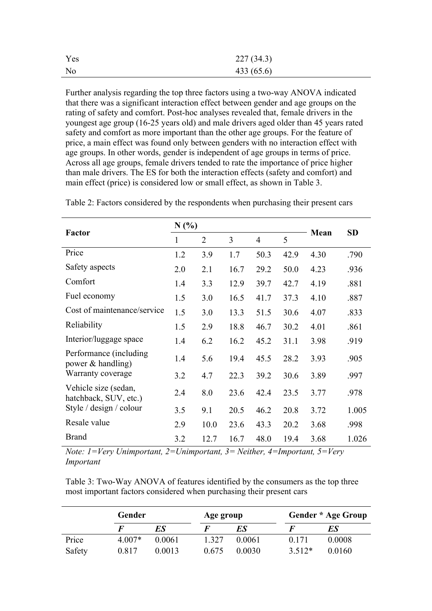| Yes            | 227(34.3) |
|----------------|-----------|
| N <sub>0</sub> | 433(65.6) |

Further analysis regarding the top three factors using a two-way ANOVA indicated that there was a significant interaction effect between gender and age groups on the rating of safety and comfort. Post-hoc analyses revealed that, female drivers in the youngest age group (16-25 years old) and male drivers aged older than 45 years rated safety and comfort as more important than the other age groups. For the feature of price, a main effect was found only between genders with no interaction effect with age groups. In other words, gender is independent of age groups in terms of price. Across all age groups, female drivers tended to rate the importance of price higher than male drivers. The ES for both the interaction effects (safety and comfort) and main effect (price) is considered low or small effect, as shown in Table 3.

|                                               | N(%)         |                |      |                |      | Mean | <b>SD</b> |
|-----------------------------------------------|--------------|----------------|------|----------------|------|------|-----------|
| <b>Factor</b>                                 | $\mathbf{1}$ | $\overline{2}$ | 3    | $\overline{4}$ | 5    |      |           |
| Price                                         | 1.2          | 3.9            | 1.7  | 50.3           | 42.9 | 4.30 | .790      |
| Safety aspects                                | 2.0          | 2.1            | 16.7 | 29.2           | 50.0 | 4.23 | .936      |
| Comfort                                       | 1.4          | 3.3            | 12.9 | 39.7           | 42.7 | 4.19 | .881      |
| Fuel economy                                  | 1.5          | 3.0            | 16.5 | 41.7           | 37.3 | 4.10 | .887      |
| Cost of maintenance/service                   | 1.5          | 3.0            | 13.3 | 51.5           | 30.6 | 4.07 | .833      |
| Reliability                                   | 1.5          | 2.9            | 18.8 | 46.7           | 30.2 | 4.01 | .861      |
| Interior/luggage space                        | 1.4          | 6.2            | 16.2 | 45.2           | 31.1 | 3.98 | .919      |
| Performance (including)<br>power & handling)  | 1.4          | 5.6            | 19.4 | 45.5           | 28.2 | 3.93 | .905      |
| Warranty coverage                             | 3.2          | 4.7            | 22.3 | 39.2           | 30.6 | 3.89 | .997      |
| Vehicle size (sedan,<br>hatchback, SUV, etc.) | 2.4          | 8.0            | 23.6 | 42.4           | 23.5 | 3.77 | .978      |
| Style / design / colour                       | 3.5          | 9.1            | 20.5 | 46.2           | 20.8 | 3.72 | 1.005     |
| Resale value                                  | 2.9          | 10.0           | 23.6 | 43.3           | 20.2 | 3.68 | .998      |
| <b>Brand</b>                                  | 3.2          | 12.7           | 16.7 | 48.0           | 19.4 | 3.68 | 1.026     |

Table 2: Factors considered by the respondents when purchasing their present cars

*Note: 1=Very Unimportant, 2=Unimportant, 3= Neither, 4=Important, 5=Very Important*

Table 3: Two-Way ANOVA of features identified by the consumers as the top three most important factors considered when purchasing their present cars

|        | Gender   |        |       | Age group |        | Gender * Age Group |  |
|--------|----------|--------|-------|-----------|--------|--------------------|--|
|        | F        | ES     |       | ES        |        | ES                 |  |
| Price  | $4.007*$ | 0.0061 | 1.327 | 0.0061    | 0171   | 0.0008             |  |
| Safety | 0.817    | 0.0013 | 0.675 | 0.0030    | 3.512* | 0.0160             |  |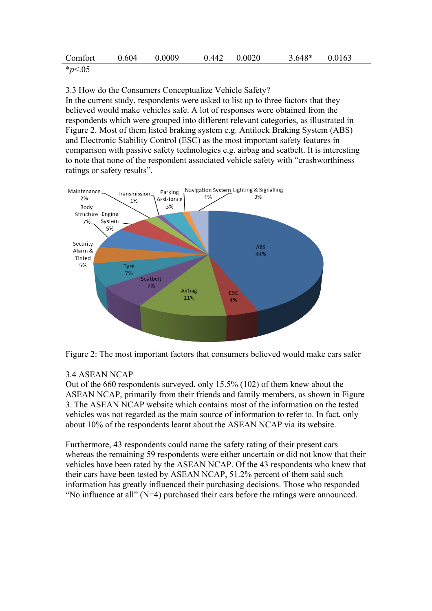| Comfort                     | 0.604 | 0.0009 | $0.442 \qquad 0.0020$ | $3.648*$ 0.0163 |  |
|-----------------------------|-------|--------|-----------------------|-----------------|--|
| $*_{\infty}$ $\wedge$ $\in$ |       |        |                       |                 |  |

\**p*<.05

3.3 How do the Consumers Conceptualize Vehicle Safety?

In the current study, respondents were asked to list up to three factors that they believed would make vehicles safe. A lot of responses were obtained from the respondents which were grouped into different relevant categories, as illustrated in Figure 2. Most of them listed braking system e.g. Antilock Braking System (ABS) and Electronic Stability Control (ESC) as the most important safety features in comparison with passive safety technologies e.g. airbag and seatbelt. It is interesting to note that none of the respondent associated vehicle safety with "crashworthiness ratings or safety results".



Figure 2: The most important factors that consumers believed would make cars safer

# 3.4 ASEAN NCAP

Out of the 660 respondents surveyed, only 15.5% (102) of them knew about the ASEAN NCAP, primarily from their friends and family members, as shown in Figure 3. The ASEAN NCAP website which contains most of the information on the tested vehicles was not regarded as the main source of information to refer to. In fact, only about 10% of the respondents learnt about the ASEAN NCAP via its website.

Furthermore, 43 respondents could name the safety rating of their present cars whereas the remaining 59 respondents were either uncertain or did not know that their vehicles have been rated by the ASEAN NCAP. Of the 43 respondents who knew that their cars have been tested by ASEAN NCAP, 51.2% percent of them said such information has greatly influenced their purchasing decisions. Those who responded "No influence at all" (N=4) purchased their cars before the ratings were announced.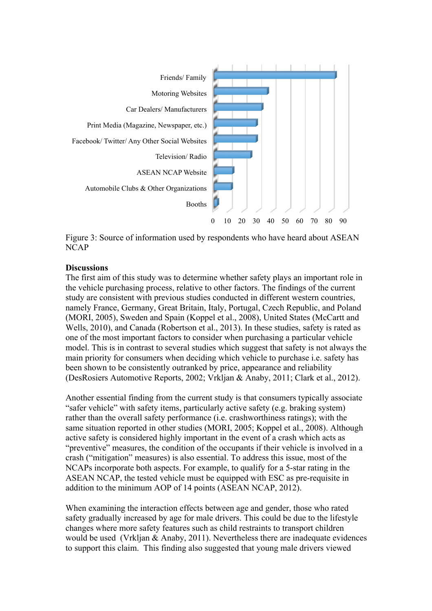

Figure 3: Source of information used by respondents who have heard about ASEAN NCAP

#### **Discussions**

The first aim of this study was to determine whether safety plays an important role in the vehicle purchasing process, relative to other factors. The findings of the current study are consistent with previous studies conducted in different western countries, namely France, Germany, Great Britain, Italy, Portugal, Czech Republic, and Poland (MORI, 2005), Sweden and Spain (Koppel et al., 2008), United States (McCartt and Wells, 2010), and Canada (Robertson et al., 2013). In these studies, safety is rated as one of the most important factors to consider when purchasing a particular vehicle model. This is in contrast to several studies which suggest that safety is not always the main priority for consumers when deciding which vehicle to purchase i.e. safety has been shown to be consistently outranked by price, appearance and reliability (DesRosiers Automotive Reports, 2002; Vrkljan & Anaby, 2011; Clark et al., 2012).

Another essential finding from the current study is that consumers typically associate "safer vehicle" with safety items, particularly active safety (e.g. braking system) rather than the overall safety performance (i.e. crashworthiness ratings); with the same situation reported in other studies (MORI, 2005; Koppel et al., 2008). Although active safety is considered highly important in the event of a crash which acts as "preventive" measures, the condition of the occupants if their vehicle is involved in a crash ("mitigation" measures) is also essential. To address this issue, most of the NCAPs incorporate both aspects. For example, to qualify for a 5-star rating in the ASEAN NCAP, the tested vehicle must be equipped with ESC as pre-requisite in addition to the minimum AOP of 14 points (ASEAN NCAP, 2012).

When examining the interaction effects between age and gender, those who rated safety gradually increased by age for male drivers. This could be due to the lifestyle changes where more safety features such as child restraints to transport children would be used (Vrkljan  $\&$  Anaby, 2011). Nevertheless there are inadequate evidences to support this claim. This finding also suggested that young male drivers viewed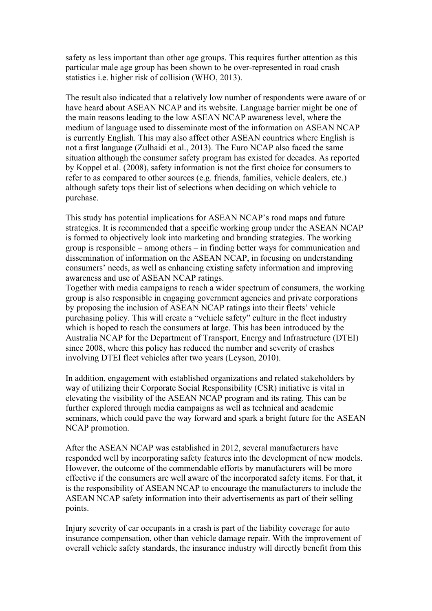safety as less important than other age groups. This requires further attention as this particular male age group has been shown to be over-represented in road crash statistics i.e. higher risk of collision (WHO, 2013).

The result also indicated that a relatively low number of respondents were aware of or have heard about ASEAN NCAP and its website. Language barrier might be one of the main reasons leading to the low ASEAN NCAP awareness level, where the medium of language used to disseminate most of the information on ASEAN NCAP is currently English. This may also affect other ASEAN countries where English is not a first language (Zulhaidi et al., 2013). The Euro NCAP also faced the same situation although the consumer safety program has existed for decades. As reported by Koppel et al. (2008), safety information is not the first choice for consumers to refer to as compared to other sources (e.g. friends, families, vehicle dealers, etc.) although safety tops their list of selections when deciding on which vehicle to purchase.

This study has potential implications for ASEAN NCAP's road maps and future strategies. It is recommended that a specific working group under the ASEAN NCAP is formed to objectively look into marketing and branding strategies. The working group is responsible – among others – in finding better ways for communication and dissemination of information on the ASEAN NCAP, in focusing on understanding consumers' needs, as well as enhancing existing safety information and improving awareness and use of ASEAN NCAP ratings.

Together with media campaigns to reach a wider spectrum of consumers, the working group is also responsible in engaging government agencies and private corporations by proposing the inclusion of ASEAN NCAP ratings into their fleets' vehicle purchasing policy. This will create a "vehicle safety" culture in the fleet industry which is hoped to reach the consumers at large. This has been introduced by the Australia NCAP for the Department of Transport, Energy and Infrastructure (DTEI) since 2008, where this policy has reduced the number and severity of crashes involving DTEI fleet vehicles after two years (Leyson, 2010).

In addition, engagement with established organizations and related stakeholders by way of utilizing their Corporate Social Responsibility (CSR) initiative is vital in elevating the visibility of the ASEAN NCAP program and its rating. This can be further explored through media campaigns as well as technical and academic seminars, which could pave the way forward and spark a bright future for the ASEAN NCAP promotion.

After the ASEAN NCAP was established in 2012, several manufacturers have responded well by incorporating safety features into the development of new models. However, the outcome of the commendable efforts by manufacturers will be more effective if the consumers are well aware of the incorporated safety items. For that, it is the responsibility of ASEAN NCAP to encourage the manufacturers to include the ASEAN NCAP safety information into their advertisements as part of their selling points.

Injury severity of car occupants in a crash is part of the liability coverage for auto insurance compensation, other than vehicle damage repair. With the improvement of overall vehicle safety standards, the insurance industry will directly benefit from this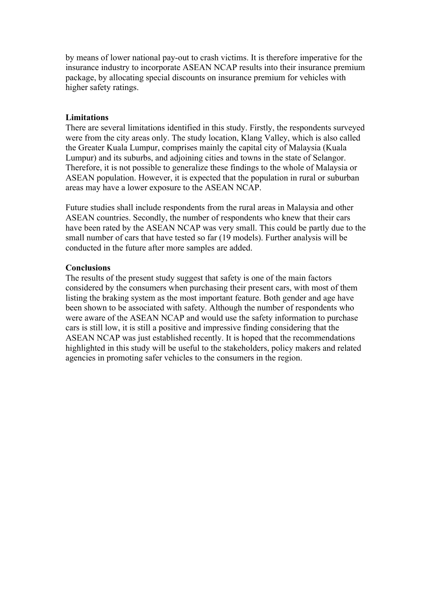by means of lower national pay-out to crash victims. It is therefore imperative for the insurance industry to incorporate ASEAN NCAP results into their insurance premium package, by allocating special discounts on insurance premium for vehicles with higher safety ratings.

#### **Limitations**

There are several limitations identified in this study. Firstly, the respondents surveyed were from the city areas only. The study location, Klang Valley, which is also called the Greater Kuala Lumpur, comprises mainly the capital city of Malaysia (Kuala Lumpur) and its suburbs, and adjoining cities and towns in the state of Selangor. Therefore, it is not possible to generalize these findings to the whole of Malaysia or ASEAN population. However, it is expected that the population in rural or suburban areas may have a lower exposure to the ASEAN NCAP.

Future studies shall include respondents from the rural areas in Malaysia and other ASEAN countries. Secondly, the number of respondents who knew that their cars have been rated by the ASEAN NCAP was very small. This could be partly due to the small number of cars that have tested so far (19 models). Further analysis will be conducted in the future after more samples are added.

### **Conclusions**

The results of the present study suggest that safety is one of the main factors considered by the consumers when purchasing their present cars, with most of them listing the braking system as the most important feature. Both gender and age have been shown to be associated with safety. Although the number of respondents who were aware of the ASEAN NCAP and would use the safety information to purchase cars is still low, it is still a positive and impressive finding considering that the ASEAN NCAP was just established recently. It is hoped that the recommendations highlighted in this study will be useful to the stakeholders, policy makers and related agencies in promoting safer vehicles to the consumers in the region.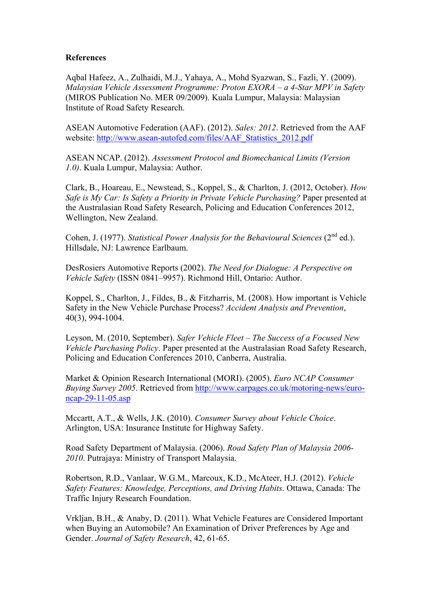### **References**

Aqbal Hafeez, A., Zulhaidi, M.J., Yahaya, A., Mohd Syazwan, S., Fazli, Y. (2009). *Malaysian Vehicle Assessment Programme: Proton EXORA – a 4-Star MPV in Safety* (MIROS Publication No. MER 09/2009). Kuala Lumpur, Malaysia: Malaysian Institute of Road Safety Research.

ASEAN Automotive Federation (AAF). (2012). *Sales: 2012*. Retrieved from the AAF website: http://www.asean-autofed.com/files/AAF\_Statistics\_2012.pdf

ASEAN NCAP. (2012). *Assessment Protocol and Biomechanical Limits (Version 1.0)*. Kuala Lumpur, Malaysia: Author.

Clark, B., Hoareau, E., Newstead, S., Koppel, S., & Charlton, J. (2012, October). *How Safe is My Car: Is Safety a Priority in Private Vehicle Purchasing?* Paper presented at the Australasian Road Safety Research, Policing and Education Conferences 2012, Wellington, New Zealand.

Cohen, J. (1977). *Statistical Power Analysis for the Behavioural Sciences* (2<sup>nd</sup> ed.). Hillsdale, NJ: Lawrence Earlbaum.

DesRosiers Automotive Reports (2002). *The Need for Dialogue: A Perspective on Vehicle Safety* (ISSN 0841–9957). Richmond Hill, Ontario: Author.

Koppel, S., Charlton, J., Fildes, B., & Fitzharris, M. (2008). How important is Vehicle Safety in the New Vehicle Purchase Process? *Accident Analysis and Prevention*, 40(3), 994-1004.

Leyson, M. (2010, September). *Safer Vehicle Fleet – The Success of a Focused New Vehicle Purchasing Policy*. Paper presented at the Australasian Road Safety Research, Policing and Education Conferences 2010, Canberra, Australia.

Market & Opinion Research International (MORI). (2005). *Euro NCAP Consumer Buying Survey 2005*. Retrieved from http://www.carpages.co.uk/motoring-news/euroncap-29-11-05.asp

Mccartt, A.T., & Wells, J.K. (2010). *Consumer Survey about Vehicle Choice*. Arlington, USA: Insurance Institute for Highway Safety.

Road Safety Department of Malaysia. (2006). *Road Safety Plan of Malaysia 2006- 2010*. Putrajaya: Ministry of Transport Malaysia.

Robertson, R.D., Vanlaar, W.G.M., Marcoux, K.D., McAteer, H.J. (2012). *Vehicle Safety Features: Knowledge, Perceptions, and Driving Habits*. Ottawa, Canada: The Traffic Injury Research Foundation.

Vrkljan, B.H., & Anaby, D. (2011). What Vehicle Features are Considered Important when Buying an Automobile? An Examination of Driver Preferences by Age and Gender. *Journal of Safety Research*, 42, 61-65.